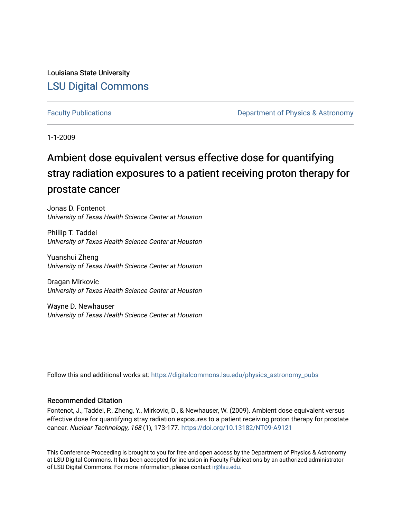Louisiana State University [LSU Digital Commons](https://digitalcommons.lsu.edu/)

[Faculty Publications](https://digitalcommons.lsu.edu/physics_astronomy_pubs) **Example 2** Constant Department of Physics & Astronomy

1-1-2009

# Ambient dose equivalent versus effective dose for quantifying stray radiation exposures to a patient receiving proton therapy for prostate cancer

Jonas D. Fontenot University of Texas Health Science Center at Houston

Phillip T. Taddei University of Texas Health Science Center at Houston

Yuanshui Zheng University of Texas Health Science Center at Houston

Dragan Mirkovic University of Texas Health Science Center at Houston

Wayne D. Newhauser University of Texas Health Science Center at Houston

Follow this and additional works at: [https://digitalcommons.lsu.edu/physics\\_astronomy\\_pubs](https://digitalcommons.lsu.edu/physics_astronomy_pubs?utm_source=digitalcommons.lsu.edu%2Fphysics_astronomy_pubs%2F3774&utm_medium=PDF&utm_campaign=PDFCoverPages) 

# Recommended Citation

Fontenot, J., Taddei, P., Zheng, Y., Mirkovic, D., & Newhauser, W. (2009). Ambient dose equivalent versus effective dose for quantifying stray radiation exposures to a patient receiving proton therapy for prostate cancer. Nuclear Technology, 168 (1), 173-177. <https://doi.org/10.13182/NT09-A9121>

This Conference Proceeding is brought to you for free and open access by the Department of Physics & Astronomy at LSU Digital Commons. It has been accepted for inclusion in Faculty Publications by an authorized administrator of LSU Digital Commons. For more information, please contact [ir@lsu.edu](mailto:ir@lsu.edu).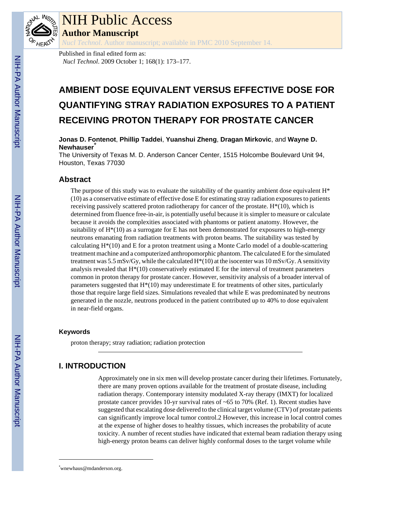

# NIH Public Access

**Author Manuscript**

*Nucl Technol*. Author manuscript; available in PMC 2010 September 14.

Published in final edited form as: *Nucl Technol*. 2009 October 1; 168(1): 173–177.

# **AMBIENT DOSE EQUIVALENT VERSUS EFFECTIVE DOSE FOR QUANTIFYING STRAY RADIATION EXPOSURES TO A PATIENT RECEIVING PROTON THERAPY FOR PROSTATE CANCER**

**Jonas D. Fontenot**, **Phillip Taddei**, **Yuanshui Zheng**, **Dragan Mirkovic**, and **Wayne D. Newhauser**\*

The University of Texas M. D. Anderson Cancer Center, 1515 Holcombe Boulevard Unit 94, Houston, Texas 77030

# **Abstract**

The purpose of this study was to evaluate the suitability of the quantity ambient dose equivalent  $H^*$ (10) as a conservative estimate of effective dose E for estimating stray radiation exposures to patients receiving passively scattered proton radiotherapy for cancer of the prostate.  $H^*(10)$ , which is determined from fluence free-in-air, is potentially useful because it is simpler to measure or calculate because it avoids the complexities associated with phantoms or patient anatomy. However, the suitability of H\*(10) as a surrogate for E has not been demonstrated for exposures to high-energy neutrons emanating from radiation treatments with proton beams. The suitability was tested by calculating  $H^*(10)$  and E for a proton treatment using a Monte Carlo model of a double-scattering treatment machine and a computerized anthropomorphic phantom. The calculated E for the simulated treatment was 5.5 mSv/Gy, while the calculated H\*(10) at the isocenter was 10 mSv/Gy. A sensitivity analysis revealed that  $H^*(10)$  conservatively estimated E for the interval of treatment parameters common in proton therapy for prostate cancer. However, sensitivity analysis of a broader interval of parameters suggested that  $H^*(10)$  may underestimate E for treatments of other sites, particularly those that require large field sizes. Simulations revealed that while E was predominated by neutrons generated in the nozzle, neutrons produced in the patient contributed up to 40% to dose equivalent in near-field organs.

#### **Keywords**

proton therapy; stray radiation; radiation protection

# **I. INTRODUCTION**

Approximately one in six men will develop prostate cancer during their lifetimes. Fortunately, there are many proven options available for the treatment of prostate disease, including radiation therapy. Contemporary intensity modulated X-ray therapy (IMXT) for localized prostate cancer provides 10-yr survival rates of ~65 to 70% (Ref. 1). Recent studies have suggested that escalating dose delivered to the clinical target volume (CTV) of prostate patients can significantly improve local tumor control.2 However, this increase in local control comes at the expense of higher doses to healthy tissues, which increases the probability of acute toxicity. A number of recent studies have indicated that external beam radiation therapy using high-energy proton beams can deliver highly conformal doses to the target volume while

<sup>\*</sup>wnewhaus@mdanderson.org.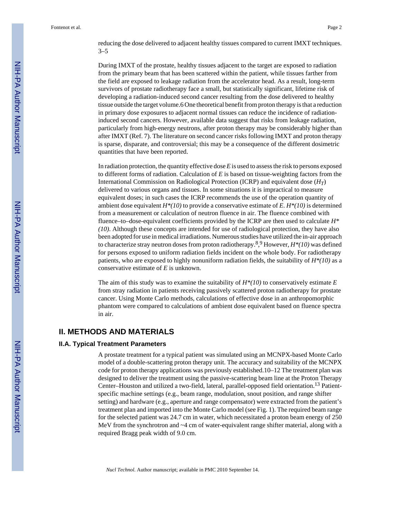reducing the dose delivered to adjacent healthy tissues compared to current IMXT techniques. 3–5

During IMXT of the prostate, healthy tissues adjacent to the target are exposed to radiation from the primary beam that has been scattered within the patient, while tissues farther from the field are exposed to leakage radiation from the accelerator head. As a result, long-term survivors of prostate radiotherapy face a small, but statistically significant, lifetime risk of developing a radiation-induced second cancer resulting from the dose delivered to healthy tissue outside the target volume.6 One theoretical benefit from proton therapy is that a reduction in primary dose exposures to adjacent normal tissues can reduce the incidence of radiationinduced second cancers. However, available data suggest that risks from leakage radiation, particularly from high-energy neutrons, after proton therapy may be considerably higher than after IMXT (Ref. 7). The literature on second cancer risks following IMXT and proton therapy is sparse, disparate, and controversial; this may be a consequence of the different dosimetric quantities that have been reported.

In radiation protection, the quantity effective dose *E* is used to assess the risk to persons exposed to different forms of radiation. Calculation of *E* is based on tissue-weighting factors from the International Commission on Radiological Protection (ICRP) and equivalent dose (*HT*) delivered to various organs and tissues. In some situations it is impractical to measure equivalent doses; in such cases the ICRP recommends the use of the operation quantity of ambient dose equivalent *H\*(10)* to provide a conservative estimate of *E*. *H\*(10)* is determined from a measurement or calculation of neutron fluence in air. The fluence combined with fluence–to–dose-equivalent coefficients provided by the ICRP are then used to calculate *H\* (10)*. Although these concepts are intended for use of radiological protection, they have also been adopted for use in medical irradiations. Numerous studies have utilized the in-air approach to characterize stray neutron doses from proton radiotherapy.<sup>8</sup> , 9 However, *H\*(10)* was defined for persons exposed to uniform radiation fields incident on the whole body. For radiotherapy patients, who are exposed to highly nonuniform radiation fields, the suitability of  $H^*(10)$  as a conservative estimate of *E* is unknown.

The aim of this study was to examine the suitability of *H\*(10)* to conservatively estimate *E* from stray radiation in patients receiving passively scattered proton radiotherapy for prostate cancer. Using Monte Carlo methods, calculations of effective dose in an anthropomorphic phantom were compared to calculations of ambient dose equivalent based on fluence spectra in air.

# **II. METHODS AND MATERIALS**

#### **II.A. Typical Treatment Parameters**

A prostate treatment for a typical patient was simulated using an MCNPX-based Monte Carlo model of a double-scattering proton therapy unit. The accuracy and suitability of the MCNPX code for proton therapy applications was previously established.10–12 The treatment plan was designed to deliver the treatment using the passive-scattering beam line at the Proton Therapy Center–Houston and utilized a two-field, lateral, parallel-opposed field orientation.13 Patientspecific machine settings (e.g., beam range, modulation, snout position, and range shifter setting) and hardware (e.g., aperture and range compensator) were extracted from the patient's treatment plan and imported into the Monte Carlo model (see Fig. 1). The required beam range for the selected patient was 24.7 cm in water, which necessitated a proton beam energy of 250 MeV from the synchrotron and  $\sim$ 4 cm of water-equivalent range shifter material, along with a required Bragg peak width of 9.0 cm.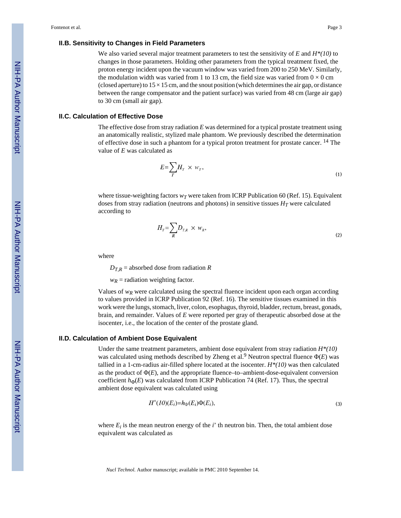#### **II.B. Sensitivity to Changes in Field Parameters**

We also varied several major treatment parameters to test the sensitivity of *E* and *H\*(10)* to changes in those parameters. Holding other parameters from the typical treatment fixed, the proton energy incident upon the vacuum window was varied from 200 to 250 MeV. Similarly, the modulation width was varied from 1 to 13 cm, the field size was varied from  $0 \times 0$  cm (closed aperture) to  $15 \times 15$  cm, and the snout position (which determines the air gap, or distance between the range compensator and the patient surface) was varied from 48 cm (large air gap) to 30 cm (small air gap).

#### **II.C. Calculation of Effective Dose**

The effective dose from stray radiation *E* was determined for a typical prostate treatment using an anatomically realistic, stylized male phantom. We previously described the determination of effective dose in such a phantom for a typical proton treatment for prostate cancer. 14 The value of *E* was calculated as

$$
E = \sum_{T} H_{T} \times w_{T}, \tag{1}
$$

where tissue-weighting factors  $w_T$  were taken from ICRP Publication 60 (Ref. 15). Equivalent doses from stray radiation (neutrons and photons) in sensitive tissues  $H_T$  were calculated according to

$$
H_{T} = \sum_{R} D_{T,R} \times w_{R}, \qquad (2)
$$

where

 $D_{T,R}$  = absorbed dose from radiation *R* 

 $w_R$  = radiation weighting factor.

Values of  $w_R$  were calculated using the spectral fluence incident upon each organ according to values provided in ICRP Publication 92 (Ref. 16). The sensitive tissues examined in this work were the lungs, stomach, liver, colon, esophagus, thyroid, bladder, rectum, breast, gonads, brain, and remainder. Values of *E* were reported per gray of therapeutic absorbed dose at the isocenter, i.e., the location of the center of the prostate gland.

#### **II.D. Calculation of Ambient Dose Equivalent**

Under the same treatment parameters, ambient dose equivalent from stray radiation *H\*(10)* was calculated using methods described by Zheng et al.<sup>9</sup> Neutron spectral fluence Φ(*E*) was tallied in a 1-cm-radius air-filled sphere located at the isocenter. *H\*(10)* was then calculated as the product of  $\Phi(E)$ , and the appropriate fluence–to–ambient-dose-equivalent conversion coefficient  $h_{\Phi}(E)$  was calculated from ICRP Publication 74 (Ref. 17). Thus, the spectral ambient dose equivalent was calculated using

$$
H^*(10)(E_i)=h_{\Phi}(E_i)\Phi(E_i),\tag{3}
$$

where  $E_i$  is the mean neutron energy of the  $i'$  th neutron bin. Then, the total ambient dose equivalent was calculated as

*Nucl Technol*. Author manuscript; available in PMC 2010 September 14.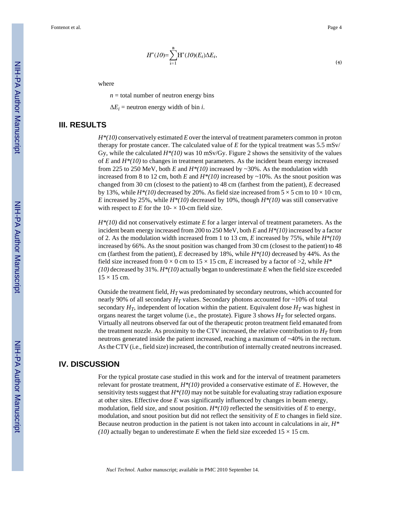(4)

NIH-PA Author Manuscript NIH-PA Author Manuscript  $H^*(IO) = \sum_{i=1}^{n} H^*(IO)(E_i) \Delta E_i,$ 

where

 $n =$  total number of neutron energy bins

 $\Delta E_i$  = neutron energy width of bin *i*.

## **III. RESULTS**

*H\*(10)* conservatively estimated *E* over the interval of treatment parameters common in proton therapy for prostate cancer. The calculated value of  $E$  for the typical treatment was  $5.5$  mSv/ Gy, while the calculated *H\*(10)* was 10 mSv/Gy. Figure 2 shows the sensitivity of the values of *E* and *H\*(10)* to changes in treatment parameters. As the incident beam energy increased from 225 to 250 MeV, both *E* and  $H^*(10)$  increased by ~30%. As the modulation width increased from 8 to 12 cm, both *E* and  $H^*(10)$  increased by ~10%. As the snout position was changed from 30 cm (closest to the patient) to 48 cm (farthest from the patient), *E* decreased by 13%, while  $H^*(10)$  decreased by 20%. As field size increased from  $5 \times 5$  cm to  $10 \times 10$  cm, *E* increased by 25%, while *H\*(10)* decreased by 10%, though *H\*(10)* was still conservative with respect to  $E$  for the 10- $\times$  10-cm field size.

*H\*(10)* did not conservatively estimate *E* for a larger interval of treatment parameters. As the incident beam energy increased from 200 to 250 MeV, both *E* and *H\*(10)* increased by a factor of 2. As the modulation width increased from 1 to 13 cm, *E* increased by 75%, while *H\*(10)* increased by 66%. As the snout position was changed from 30 cm (closest to the patient) to 48 cm (farthest from the patient), *E* decreased by 18%, while *H\*(10)* decreased by 44%. As the field size increased from  $0 \times 0$  cm to  $15 \times 15$  cm, *E* increased by a factor of  $>2$ , while  $H^*$ *(10)* decreased by 31%. *H\*(10)* actually began to underestimate *E* when the field size exceeded  $15 \times 15$  cm.

Outside the treatment field,  $H_T$  was predominated by secondary neutrons, which accounted for nearly 90% of all secondary  $H_T$  values. Secondary photons accounted for ~10% of total secondary  $H_T$ , independent of location within the patient. Equivalent dose  $H_T$  was highest in organs nearest the target volume (i.e., the prostate). Figure 3 shows  $H_T$  for selected organs. Virtually all neutrons observed far out of the therapeutic proton treatment field emanated from the treatment nozzle. As proximity to the CTV increased, the relative contribution to  $H_T$  from neutrons generated inside the patient increased, reaching a maximum of ~40% in the rectum. As the CTV (i.e., field size) increased, the contribution of internally created neutrons increased.

# **IV. DISCUSSION**

For the typical prostate case studied in this work and for the interval of treatment parameters relevant for prostate treatment, *H\*(10)* provided a conservative estimate of *E*. However, the sensitivity tests suggest that *H\*(10)* may not be suitable for evaluating stray radiation exposure at other sites. Effective dose *E* was significantly influenced by changes in beam energy, modulation, field size, and snout position.  $H^*(10)$  reflected the sensitivities of E to energy, modulation, and snout position but did not reflect the sensitivity of *E* to changes in field size. Because neutron production in the patient is not taken into account in calculations in air, *H\* (10)* actually began to underestimate *E* when the field size exceeded  $15 \times 15$  cm.

*Nucl Technol*. Author manuscript; available in PMC 2010 September 14.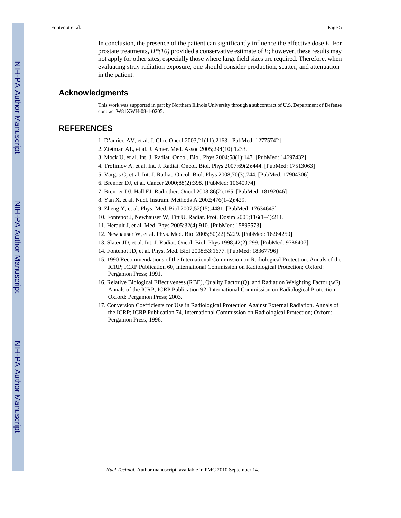In conclusion, the presence of the patient can significantly influence the effective dose *E*. For prostate treatments, *H\*(10)* provided a conservative estimate of *E*; however, these results may not apply for other sites, especially those where large field sizes are required. Therefore, when evaluating stray radiation exposure, one should consider production, scatter, and attenuation in the patient.

### **Acknowledgments**

This work was supported in part by Northern Illinois University through a subcontract of U.S. Department of Defense contract W81XWH-08-1-0205.

# **REFERENCES**

- 1. D'amico AV, et al. J. Clin. Oncol 2003;21(11):2163. [PubMed: 12775742]
- 2. Zietman AL, et al. J. Amer. Med. Assoc 2005;294(10):1233.
- 3. Mock U, et al. Int. J. Radiat. Oncol. Biol. Phys 2004;58(1):147. [PubMed: 14697432]
- 4. Trofimov A, et al. Int. J. Radiat. Oncol. Biol. Phys 2007;69(2):444. [PubMed: 17513063]
- 5. Vargas C, et al. Int. J. Radiat. Oncol. Biol. Phys 2008;70(3):744. [PubMed: 17904306]
- 6. Brenner DJ, et al. Cancer 2000;88(2):398. [PubMed: 10640974]
- 7. Brenner DJ, Hall EJ. Radiother. Oncol 2008;86(2):165. [PubMed: 18192046]
- 8. Yan X, et al. Nucl. Instrum. Methods A 2002;476(1–2):429.
- 9. Zheng Y, et al. Phys. Med. Biol 2007;52(15):4481. [PubMed: 17634645]
- 10. Fontenot J, Newhauser W, Titt U. Radiat. Prot. Dosim 2005;116(1–4):211.
- 11. Herault J, et al. Med. Phys 2005;32(4):910. [PubMed: 15895573]
- 12. Newhauser W, et al. Phys. Med. Biol 2005;50(22):5229. [PubMed: 16264250]
- 13. Slater JD, et al. Int. J. Radiat. Oncol. Biol. Phys 1998;42(2):299. [PubMed: 9788407]
- 14. Fontenot JD, et al. Phys. Med. Biol 2008;53:1677. [PubMed: 18367796]
- 15. 1990 Recommendations of the International Commission on Radiological Protection. Annals of the ICRP; ICRP Publication 60, International Commission on Radiological Protection; Oxford: Pergamon Press; 1991.
- 16. Relative Biological Effectiveness (RBE), Quality Factor (Q), and Radiation Weighting Factor (wF). Annals of the ICRP; ICRP Publication 92, International Commission on Radiological Protection; Oxford: Pergamon Press; 2003.
- 17. Conversion Coefficients for Use in Radiological Protection Against External Radiation. Annals of the ICRP; ICRP Publication 74, International Commission on Radiological Protection; Oxford: Pergamon Press; 1996.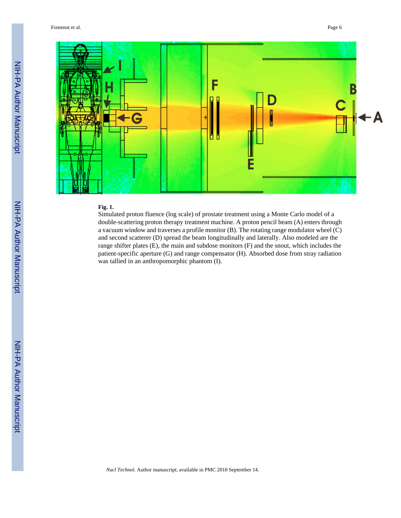

## **Fig. 1.**

Simulated proton fluence (log scale) of prostate treatment using a Monte Carlo model of a double-scattering proton therapy treatment machine. A proton pencil beam (A) enters through a vacuum window and traverses a profile monitor (B). The rotating range modulator wheel (C) and second scatterer (D) spread the beam longitudinally and laterally. Also modeled are the range shifter plates (E), the main and subdose monitors (F) and the snout, which includes the patient-specific aperture (G) and range compensator (H). Absorbed dose from stray radiation was tallied in an anthropomorphic phantom (I).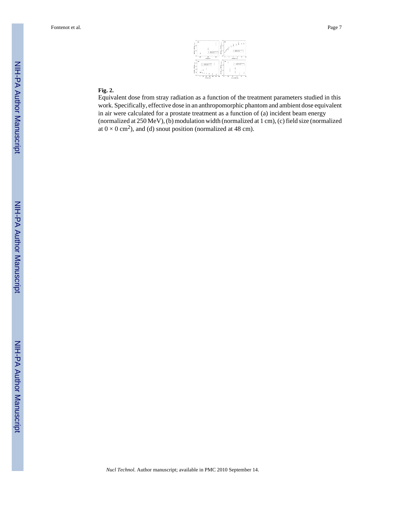

## **Fig. 2.**

Equivalent dose from stray radiation as a function of the treatment parameters studied in this work. Specifically, effective dose in an anthropomorphic phantom and ambient dose equivalent in air were calculated for a prostate treatment as a function of (a) incident beam energy (normalized at 250 MeV), (b) modulation width (normalized at 1 cm), (c) field size (normalized at  $0 \times 0$  cm<sup>2</sup>), and (d) snout position (normalized at 48 cm).